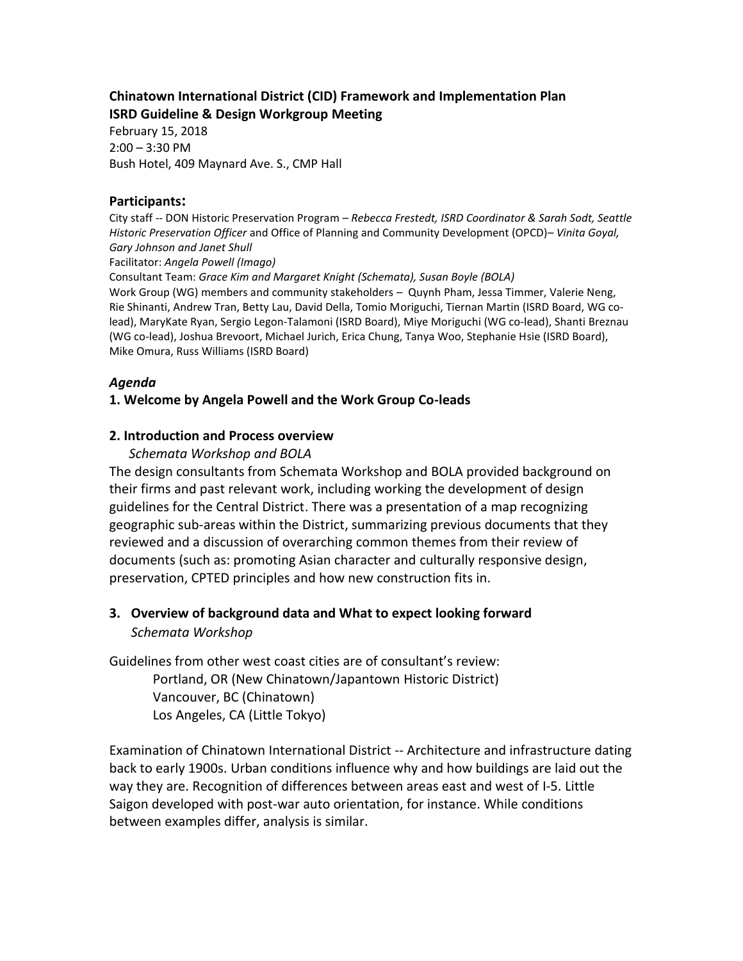## **Chinatown International District (CID) Framework and Implementation Plan ISRD Guideline & Design Workgroup Meeting**

February 15, 2018 2:00 – 3:30 PM Bush Hotel, 409 Maynard Ave. S., CMP Hall

#### **Participants:**

City staff -- DON Historic Preservation Program – *Rebecca Frestedt, ISRD Coordinator & Sarah Sodt, Seattle Historic Preservation Officer* and Office of Planning and Community Development (OPCD)– *Vinita Goyal, Gary Johnson and Janet Shull*

Facilitator: *Angela Powell (Imago)*

Consultant Team: *Grace Kim and Margaret Knight (Schemata), Susan Boyle (BOLA)*  Work Group (WG) members and community stakeholders – Quynh Pham, Jessa Timmer, Valerie Neng, Rie Shinanti, Andrew Tran, Betty Lau, David Della, Tomio Moriguchi, Tiernan Martin (ISRD Board, WG colead), MaryKate Ryan, Sergio Legon-Talamoni (ISRD Board), Miye Moriguchi (WG co-lead), Shanti Breznau (WG co-lead), Joshua Brevoort, Michael Jurich, Erica Chung, Tanya Woo, Stephanie Hsie (ISRD Board),

Mike Omura, Russ Williams (ISRD Board)

## *Agenda*

## **1. Welcome by Angela Powell and the Work Group Co-leads**

## **2. Introduction and Process overview**

#### *Schemata Workshop and BOLA*

The design consultants from Schemata Workshop and BOLA provided background on their firms and past relevant work, including working the development of design guidelines for the Central District. There was a presentation of a map recognizing geographic sub-areas within the District, summarizing previous documents that they reviewed and a discussion of overarching common themes from their review of documents (such as: promoting Asian character and culturally responsive design, preservation, CPTED principles and how new construction fits in.

# **3. Overview of background data and What to expect looking forward** *Schemata Workshop*

Guidelines from other west coast cities are of consultant's review: Portland, OR (New Chinatown/Japantown Historic District) Vancouver, BC (Chinatown) Los Angeles, CA (Little Tokyo)

Examination of Chinatown International District -- Architecture and infrastructure dating back to early 1900s. Urban conditions influence why and how buildings are laid out the way they are. Recognition of differences between areas east and west of I-5. Little Saigon developed with post-war auto orientation, for instance. While conditions between examples differ, analysis is similar.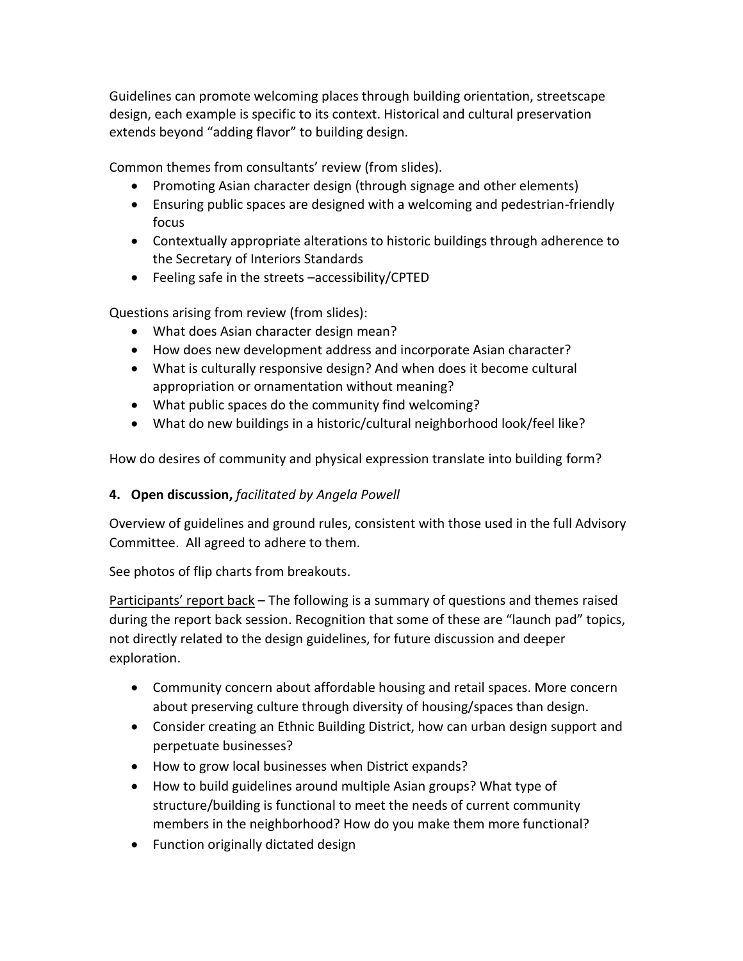Guidelines can promote welcoming places through building orientation, streetscape design, each example is specific to its context. Historical and cultural preservation extends beyond "adding flavor" to building design.

Common themes from consultants' review (from slides).

- Promoting Asian character design (through signage and other elements)
- Ensuring public spaces are designed with a welcoming and pedestrian-friendly focus
- Contextually appropriate alterations to historic buildings through adherence to the Secretary of Interiors Standards
- Feeling safe in the streets –accessibility/CPTED

Questions arising from review (from slides):

- What does Asian character design mean?
- How does new development address and incorporate Asian character?
- What is culturally responsive design? And when does it become cultural appropriation or ornamentation without meaning?
- What public spaces do the community find welcoming?
- What do new buildings in a historic/cultural neighborhood look/feel like?

How do desires of community and physical expression translate into building form?

# **4. Open discussion,** *facilitated by Angela Powell*

Overview of guidelines and ground rules, consistent with those used in the full Advisory Committee. All agreed to adhere to them.

See photos of flip charts from breakouts.

Participants' report back – The following is a summary of questions and themes raised during the report back session. Recognition that some of these are "launch pad" topics, not directly related to the design guidelines, for future discussion and deeper exploration.

- Community concern about affordable housing and retail spaces. More concern about preserving culture through diversity of housing/spaces than design.
- Consider creating an Ethnic Building District, how can urban design support and perpetuate businesses?
- How to grow local businesses when District expands?
- How to build guidelines around multiple Asian groups? What type of structure/building is functional to meet the needs of current community members in the neighborhood? How do you make them more functional?
- Function originally dictated design